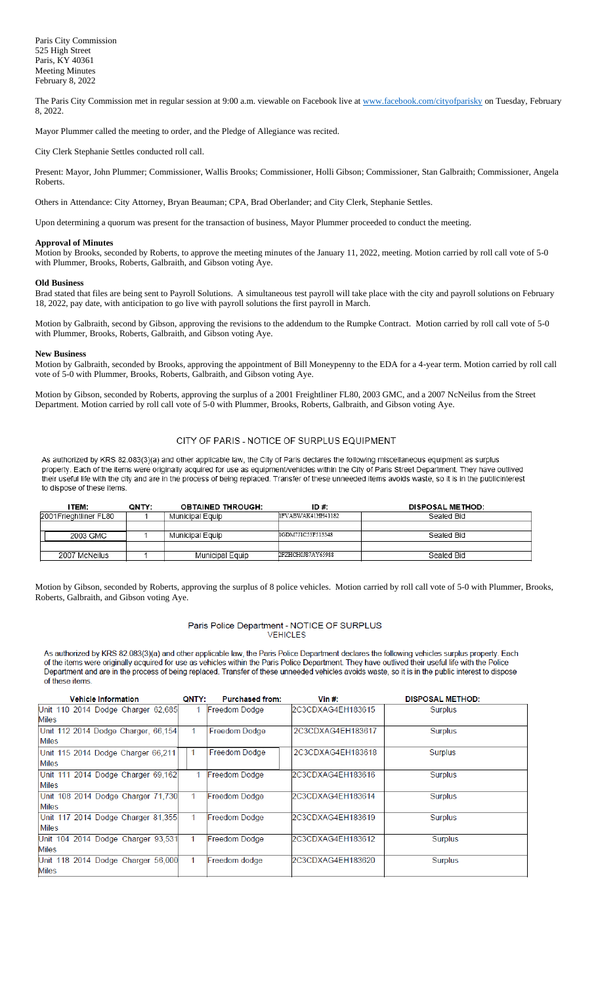The Paris City Commission met in regular session at 9:00 a.m. viewable on Facebook live a[t www.facebook.com/cityofparisky](http://www.facebook.com/cityofparisky) on Tuesday, February 8, 2022.

Mayor Plummer called the meeting to order, and the Pledge of Allegiance was recited.

City Clerk Stephanie Settles conducted roll call.

Present: Mayor, John Plummer; Commissioner, Wallis Brooks; Commissioner, Holli Gibson; Commissioner, Stan Galbraith; Commissioner, Angela Roberts.

Others in Attendance: City Attorney, Bryan Beauman; CPA, Brad Oberlander; and City Clerk, Stephanie Settles.

Upon determining a quorum was present for the transaction of business, Mayor Plummer proceeded to conduct the meeting.

## **Approval of Minutes**

Motion by Brooks, seconded by Roberts, to approve the meeting minutes of the January 11, 2022, meeting. Motion carried by roll call vote of 5-0 with Plummer, Brooks, Roberts, Galbraith, and Gibson voting Aye.

### **Old Business**

Brad stated that files are being sent to Payroll Solutions. A simultaneous test payroll will take place with the city and payroll solutions on February 18, 2022, pay date, with anticipation to go live with payroll solutions the first payroll in March.

Motion by Galbraith, second by Gibson, approving the revisions to the addendum to the Rumpke Contract. Motion carried by roll call vote of 5-0 with Plummer, Brooks, Roberts, Galbraith, and Gibson voting Aye.

### **New Business**

of these items.

Motion by Galbraith, seconded by Brooks, approving the appointment of Bill Moneypenny to the EDA for a 4-year term. Motion carried by roll call vote of 5-0 with Plummer, Brooks, Roberts, Galbraith, and Gibson voting Aye.

Motion by Gibson, seconded by Roberts, approving the surplus of a 2001 Freightliner FL80, 2003 GMC, and a 2007 NcNeilus from the Street Department. Motion carried by roll call vote of 5-0 with Plummer, Brooks, Roberts, Galbraith, and Gibson voting Aye.

## CITY OF PARIS - NOTICE OF SURPLUS EQUIPMENT

As authorized by KRS 82.083(3)(a) and other applicable law, the City of Paris declares the following miscellaneous equipment as surplus property. Each of the items were originally acquired for use as equipment/vehicles within the City of Paris Street Department. They have outlived their useful life with the city and are in the process of being replaced. Transfer of these unneeded items avoids waste, so it is in the publicinterest to dispose of these items.

| <b>ITEM</b>            | QNTY: | <b>OBTAINED THROUGH:</b> | $ID#$ :            | <b>DISPOSAL METHOD:</b> |
|------------------------|-------|--------------------------|--------------------|-------------------------|
| 2001 Frieghtliner FL80 |       | Municipal Equip          | lFVABWAK41HH41182  | Sealed Bid              |
|                        |       |                          |                    |                         |
| 2003 GMC               |       | Municipal Equip          | I1GDM7J1C53F513348 | Sealed Bid              |
|                        |       |                          |                    |                         |
| 2007 McNeilus          |       | Municipal Equip          | 2FZHCH0J87AY65988  | Sealed Bid              |

Motion by Gibson, seconded by Roberts, approving the surplus of 8 police vehicles. Motion carried by roll call vote of 5-0 with Plummer, Brooks, Roberts, Galbraith, and Gibson voting Aye.

### Paris Police Department - NOTICE OF SURPLUS **VEHICLES**

As authorized by KRS 82.083(3)(a) and other applicable law, the Paris Police Department declares the following vehicles surplus property. Each of the items were originally acquired for use as vehicles within the Paris Police Department. They have outlived their useful life with the Police Department and are in the process of being replaced. Transfer of these unneeded vehicles avoids waste, so it is in the public interest to dispose

| <b>Vehicle Information</b>          | <b>ONTY:</b> | <b>Purchased from:</b> | Vin $#$ :         | <b>DISPOSAL METHOD:</b> |
|-------------------------------------|--------------|------------------------|-------------------|-------------------------|
| Unit 110 2014 Dodge Charger 62,685  |              | Freedom Dodge          | 2C3CDXAG4EH183615 | Surplus                 |
| Miles                               |              |                        |                   |                         |
| Unit 112 2014 Dodge Charger, 66,154 | $\mathbf{1}$ | Freedom Dodge          | 2C3CDXAG4EH183617 | Surplus                 |
| <b>Miles</b>                        |              |                        |                   |                         |
| Unit 115 2014 Dodge Charger 66,211  |              | Freedom Dodge          | 2C3CDXAG4EH183618 | Surplus                 |
| <b>Miles</b>                        |              |                        |                   |                         |
| Unit 111 2014 Dodge Charger 69,162  |              | Freedom Dodge          | 2C3CDXAG4EH183616 | Surplus                 |
| <b>Miles</b>                        |              |                        |                   |                         |
| Unit 108 2014 Dodge Charger 71,730  |              | Freedom Dodge          | 2C3CDXAG4EH183614 | Surplus                 |
| Miles                               |              |                        |                   |                         |
| Unit 117 2014 Dodge Charger 81,355  | 1            | Freedom Dodge          | 2C3CDXAG4EH183619 | <b>Surplus</b>          |
| <b>Miles</b>                        |              |                        |                   |                         |
| Unit 104 2014 Dodge Charger 93,531  | 1.           | Freedom Dodge          | 2C3CDXAG4EH183612 | Surplus                 |
| <b>Miles</b>                        |              |                        |                   |                         |
| Unit 118 2014 Dodge Charger 56,000  | 1.           | Freedom dodge          | 2C3CDXAG4EH183620 | Surplus                 |
| <b>Miles</b>                        |              |                        |                   |                         |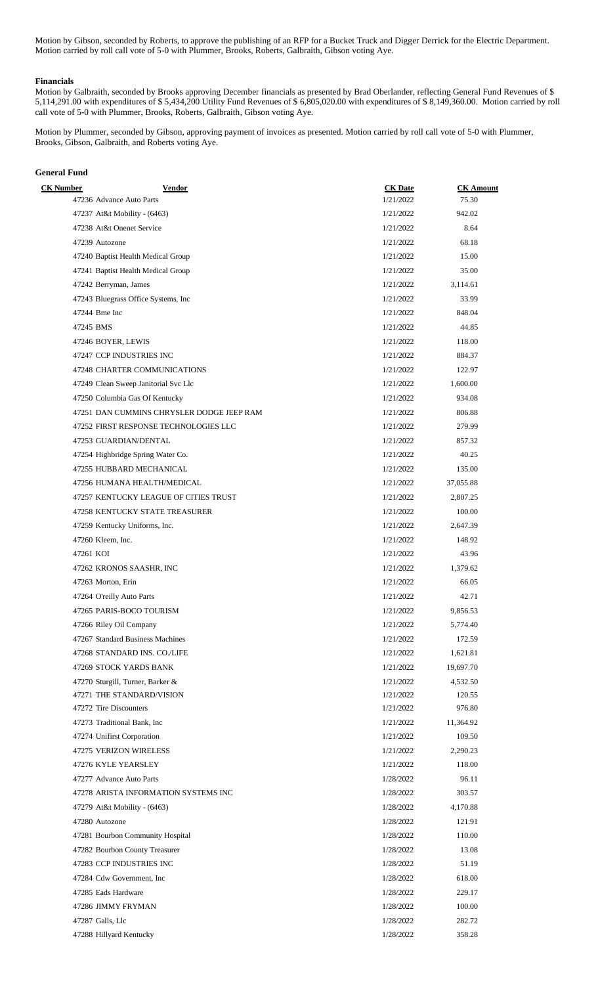Motion by Gibson, seconded by Roberts, to approve the publishing of an RFP for a Bucket Truck and Digger Derrick for the Electric Department. Motion carried by roll call vote of 5-0 with Plummer, Brooks, Roberts, Galbraith, Gibson voting Aye.

### **Financials**

Motion by Galbraith, seconded by Brooks approving December financials as presented by Brad Oberlander, reflecting General Fund Revenues of \$ 5,114,291.00 with expenditures of \$ 5,434,200 Utility Fund Revenues of \$ 6,805,020.00 with expenditures of \$ 8,149,360.00. Motion carried by roll call vote of 5-0 with Plummer, Brooks, Roberts, Galbraith, Gibson voting Aye.

Motion by Plummer, seconded by Gibson, approving payment of invoices as presented. Motion carried by roll call vote of 5-0 with Plummer, Brooks, Gibson, Galbraith, and Roberts voting Aye.

# **General Fund**

| <b>CK</b> Number | <b>Vendor</b>                             | <b>CK</b> Date | <b>CK</b> Amount |
|------------------|-------------------------------------------|----------------|------------------|
|                  | 47236 Advance Auto Parts                  | 1/21/2022      | 75.30            |
|                  | 47237 At&t Mobility - (6463)              | 1/21/2022      | 942.02           |
|                  | 47238 At&t Onenet Service                 | 1/21/2022      | 8.64             |
|                  | 47239 Autozone                            | 1/21/2022      | 68.18            |
|                  | 47240 Baptist Health Medical Group        | 1/21/2022      | 15.00            |
|                  | 47241 Baptist Health Medical Group        | 1/21/2022      | 35.00            |
|                  | 47242 Berryman, James                     | 1/21/2022      | 3,114.61         |
|                  | 47243 Bluegrass Office Systems, Inc.      | 1/21/2022      | 33.99            |
|                  | 47244 Bme Inc                             | 1/21/2022      | 848.04           |
|                  | 47245 BMS                                 | 1/21/2022      | 44.85            |
|                  | 47246 BOYER, LEWIS                        | 1/21/2022      | 118.00           |
|                  | 47247 CCP INDUSTRIES INC                  | 1/21/2022      | 884.37           |
|                  | 47248 CHARTER COMMUNICATIONS              | 1/21/2022      | 122.97           |
|                  | 47249 Clean Sweep Janitorial Svc Llc      | 1/21/2022      | 1,600.00         |
|                  | 47250 Columbia Gas Of Kentucky            | 1/21/2022      | 934.08           |
|                  | 47251 DAN CUMMINS CHRYSLER DODGE JEEP RAM | 1/21/2022      | 806.88           |
|                  | 47252 FIRST RESPONSE TECHNOLOGIES LLC     | 1/21/2022      | 279.99           |
|                  | 47253 GUARDIAN/DENTAL                     | 1/21/2022      | 857.32           |
|                  | 47254 Highbridge Spring Water Co.         | 1/21/2022      | 40.25            |
|                  | 47255 HUBBARD MECHANICAL                  | 1/21/2022      | 135.00           |
|                  | 47256 HUMANA HEALTH/MEDICAL               | 1/21/2022      | 37,055.88        |
|                  | 47257 KENTUCKY LEAGUE OF CITIES TRUST     | 1/21/2022      | 2,807.25         |
|                  | 47258 KENTUCKY STATE TREASURER            | 1/21/2022      | 100.00           |
|                  | 47259 Kentucky Uniforms, Inc.             | 1/21/2022      | 2,647.39         |
|                  | 47260 Kleem, Inc.                         | 1/21/2022      | 148.92           |
| 47261 KOI        |                                           | 1/21/2022      | 43.96            |
|                  | 47262 KRONOS SAASHR, INC                  | 1/21/2022      | 1,379.62         |
|                  | 47263 Morton, Erin                        | 1/21/2022      | 66.05            |
|                  | 47264 O'reilly Auto Parts                 | 1/21/2022      | 42.71            |
|                  | 47265 PARIS-BOCO TOURISM                  | 1/21/2022      | 9,856.53         |
|                  | 47266 Riley Oil Company                   | 1/21/2022      | 5,774.40         |
|                  | 47267 Standard Business Machines          | 1/21/2022      | 172.59           |
|                  | 47268 STANDARD INS. CO./LIFE              | 1/21/2022      | 1,621.81         |
|                  | 47269 STOCK YARDS BANK                    | 1/21/2022      | 19,697.70        |
|                  | 47270 Sturgill, Turner, Barker &          | 1/21/2022      | 4,532.50         |
|                  | 47271 THE STANDARD/VISION                 | 1/21/2022      | 120.55           |
|                  | 47272 Tire Discounters                    | 1/21/2022      | 976.80           |
|                  | 47273 Traditional Bank, Inc.              | 1/21/2022      | 11,364.92        |
|                  | 47274 Unifirst Corporation                | 1/21/2022      | 109.50           |
|                  | 47275 VERIZON WIRELESS                    | 1/21/2022      | 2,290.23         |
|                  | 47276 KYLE YEARSLEY                       | 1/21/2022      | 118.00           |
|                  | 47277 Advance Auto Parts                  | 1/28/2022      | 96.11            |
|                  | 47278 ARISTA INFORMATION SYSTEMS INC      | 1/28/2022      | 303.57           |
|                  | 47279 At&t Mobility - (6463)              | 1/28/2022      | 4,170.88         |
|                  | 47280 Autozone                            | 1/28/2022      | 121.91           |
|                  | 47281 Bourbon Community Hospital          | 1/28/2022      | 110.00           |
|                  |                                           |                | 13.08            |
|                  | 47282 Bourbon County Treasurer            | 1/28/2022      |                  |
|                  | 47283 CCP INDUSTRIES INC                  | 1/28/2022      | 51.19            |
|                  | 47284 Cdw Government, Inc.                | 1/28/2022      | 618.00           |
|                  | 47285 Eads Hardware                       | 1/28/2022      | 229.17           |
|                  | 47286 JIMMY FRYMAN                        | 1/28/2022      | 100.00           |
|                  | 47287 Galls, Llc                          | 1/28/2022      | 282.72           |
|                  | 47288 Hillyard Kentucky                   | 1/28/2022      | 358.28           |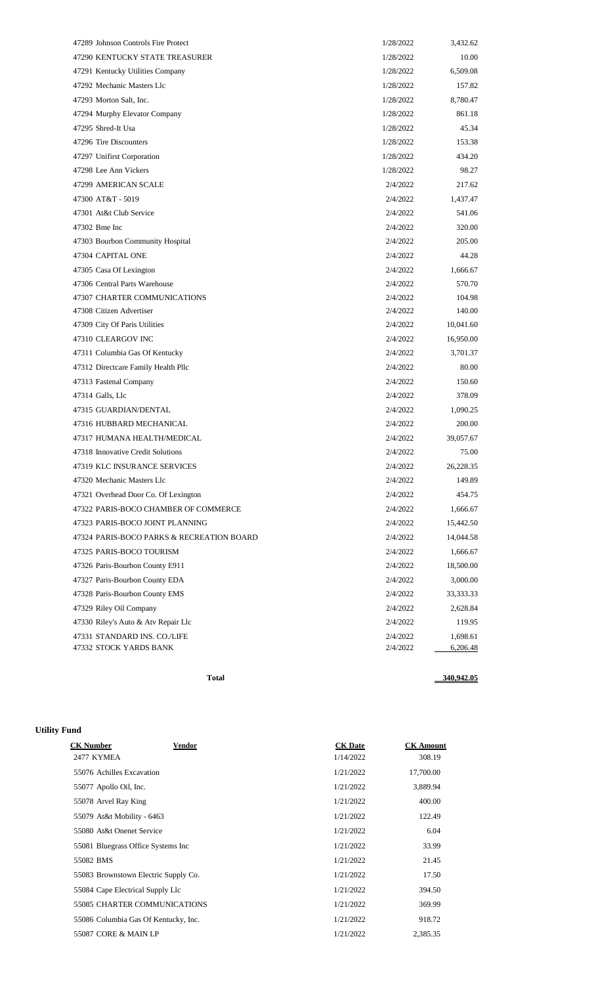| 47289 Johnson Controls Fire Protect       | 1/28/2022 | 3,432.62  |
|-------------------------------------------|-----------|-----------|
| 47290 KENTUCKY STATE TREASURER            | 1/28/2022 | 10.00     |
| 47291 Kentucky Utilities Company          | 1/28/2022 | 6,509.08  |
| 47292 Mechanic Masters Llc                | 1/28/2022 | 157.82    |
| 47293 Morton Salt, Inc.                   | 1/28/2022 | 8,780.47  |
| 47294 Murphy Elevator Company             | 1/28/2022 | 861.18    |
| 47295 Shred-It Usa                        | 1/28/2022 | 45.34     |
| 47296 Tire Discounters                    | 1/28/2022 | 153.38    |
| 47297 Unifirst Corporation                | 1/28/2022 | 434.20    |
| 47298 Lee Ann Vickers                     | 1/28/2022 | 98.27     |
| 47299 AMERICAN SCALE                      | 2/4/2022  | 217.62    |
| 47300 AT&T - 5019                         | 2/4/2022  | 1,437.47  |
| 47301 At&t Club Service                   | 2/4/2022  | 541.06    |
| 47302 Bme Inc                             | 2/4/2022  | 320.00    |
| 47303 Bourbon Community Hospital          | 2/4/2022  | 205.00    |
| 47304 CAPITAL ONE                         | 2/4/2022  | 44.28     |
| 47305 Casa Of Lexington                   | 2/4/2022  | 1,666.67  |
| 47306 Central Parts Warehouse             | 2/4/2022  | 570.70    |
| 47307 CHARTER COMMUNICATIONS              | 2/4/2022  | 104.98    |
| 47308 Citizen Advertiser                  | 2/4/2022  | 140.00    |
| 47309 City Of Paris Utilities             | 2/4/2022  | 10,041.60 |
| 47310 CLEARGOV INC                        | 2/4/2022  | 16,950.00 |
| 47311 Columbia Gas Of Kentucky            | 2/4/2022  | 3,701.37  |
| 47312 Directcare Family Health Pllc       | 2/4/2022  | 80.00     |
| 47313 Fastenal Company                    | 2/4/2022  | 150.60    |
| 47314 Galls, Llc                          | 2/4/2022  | 378.09    |
| 47315 GUARDIAN/DENTAL                     | 2/4/2022  | 1,090.25  |
| 47316 HUBBARD MECHANICAL                  | 2/4/2022  | 200.00    |
| 47317 HUMANA HEALTH/MEDICAL               | 2/4/2022  | 39,057.67 |
| 47318 Innovative Credit Solutions         | 2/4/2022  | 75.00     |
| 47319 KLC INSURANCE SERVICES              | 2/4/2022  | 26,228.35 |
| 47320 Mechanic Masters Llc                | 2/4/2022  | 149.89    |
| 47321 Overhead Door Co. Of Lexington      | 2/4/2022  | 454.75    |
| 47322 PARIS-BOCO CHAMBER OF COMMERCE      | 2/4/2022  | 1,666.67  |
| 47323 PARIS-BOCO JOINT PLANNING           | 2/4/2022  | 15,442.50 |
| 47324 PARIS-BOCO PARKS & RECREATION BOARD | 2/4/2022  | 14,044.58 |
| 47325 PARIS-BOCO TOURISM                  | 2/4/2022  | 1,666.67  |
| 47326 Paris-Bourbon County E911           | 2/4/2022  | 18,500.00 |
| 47327 Paris-Bourbon County EDA            | 2/4/2022  | 3,000.00  |
| 47328 Paris-Bourbon County EMS            | 2/4/2022  | 33,333.33 |
| 47329 Riley Oil Company                   | 2/4/2022  | 2,628.84  |
| 47330 Riley's Auto & Atv Repair Llc       | 2/4/2022  | 119.95    |
| 47331 STANDARD INS. CO./LIFE              | 2/4/2022  | 1,698.61  |
| 47332 STOCK YARDS BANK                    | 2/4/2022  | 6,206.48  |
|                                           |           |           |

Total 2340,942.05

# **Utility Fund**

| <b>CK Number</b>                     | Vendor                              | <b>CK</b> Date | <b>CK</b> Amount |
|--------------------------------------|-------------------------------------|----------------|------------------|
| 2477 KYMEA                           |                                     | 1/14/2022      | 308.19           |
| 55076 Achilles Excavation            |                                     | 1/21/2022      | 17,700.00        |
| 55077 Apollo Oil, Inc.               |                                     | 1/21/2022      | 3,889.94         |
| 55078 Arvel Ray King                 |                                     | 1/21/2022      | 400.00           |
| 55079 At&t Mobility - 6463           |                                     | 1/21/2022      | 122.49           |
| 55080 At&t Onenet Service            |                                     | 1/21/2022      | 6.04             |
| 55081 Bluegrass Office Systems Inc   |                                     | 1/21/2022      | 33.99            |
| 55082 BMS                            |                                     | 1/21/2022      | 21.45            |
| 55083 Brownstown Electric Supply Co. |                                     | 1/21/2022      | 17.50            |
| 55084 Cape Electrical Supply Llc     |                                     | 1/21/2022      | 394.50           |
|                                      | <b>55085 CHARTER COMMUNICATIONS</b> | 1/21/2022      | 369.99           |
| 55086 Columbia Gas Of Kentucky, Inc. |                                     | 1/21/2022      | 918.72           |
| 55087 CORE & MAIN LP                 |                                     | 1/21/2022      | 2,385.35         |
|                                      |                                     |                |                  |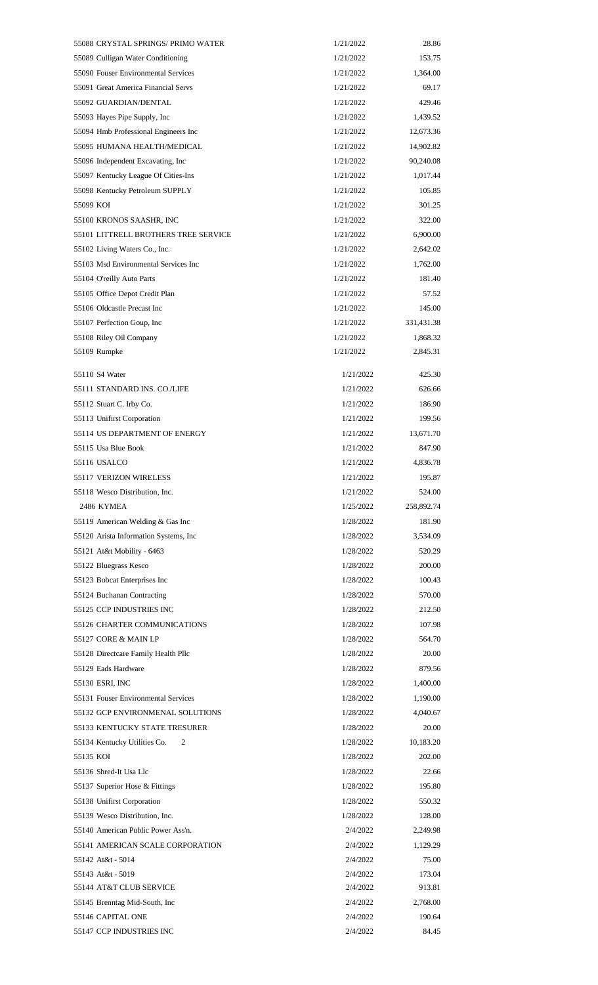|           | 55088 CRYSTAL SPRINGS/ PRIMO WATER     | 1/21/2022 | 28.86      |
|-----------|----------------------------------------|-----------|------------|
|           | 55089 Culligan Water Conditioning      | 1/21/2022 | 153.75     |
|           | 55090 Fouser Environmental Services    | 1/21/2022 | 1,364.00   |
|           | 55091 Great America Financial Servs    | 1/21/2022 | 69.17      |
|           | 55092 GUARDIAN/DENTAL                  | 1/21/2022 | 429.46     |
|           | 55093 Hayes Pipe Supply, Inc.          | 1/21/2022 | 1,439.52   |
|           | 55094 Hmb Professional Engineers Inc   | 1/21/2022 | 12,673.36  |
|           | 55095 HUMANA HEALTH/MEDICAL            | 1/21/2022 | 14,902.82  |
|           | 55096 Independent Excavating, Inc      | 1/21/2022 | 90,240.08  |
|           | 55097 Kentucky League Of Cities-Ins    | 1/21/2022 | 1,017.44   |
|           | 55098 Kentucky Petroleum SUPPLY        | 1/21/2022 | 105.85     |
| 55099 KOI |                                        | 1/21/2022 | 301.25     |
|           | 55100 KRONOS SAASHR, INC               | 1/21/2022 | 322.00     |
|           | 55101 LITTRELL BROTHERS TREE SERVICE   | 1/21/2022 | 6,900.00   |
|           | 55102 Living Waters Co., Inc.          | 1/21/2022 | 2,642.02   |
|           | 55103 Msd Environmental Services Inc   | 1/21/2022 | 1,762.00   |
|           | 55104 O'reilly Auto Parts              | 1/21/2022 | 181.40     |
|           | 55105 Office Depot Credit Plan         | 1/21/2022 | 57.52      |
|           | 55106 Oldcastle Precast Inc            | 1/21/2022 | 145.00     |
|           | 55107 Perfection Goup, Inc             | 1/21/2022 | 331,431.38 |
|           | 55108 Riley Oil Company                | 1/21/2022 | 1,868.32   |
|           | 55109 Rumpke                           | 1/21/2022 | 2,845.31   |
|           |                                        |           |            |
|           | 55110 S4 Water                         | 1/21/2022 | 425.30     |
|           | 55111 STANDARD INS. CO./LIFE           | 1/21/2022 | 626.66     |
|           | 55112 Stuart C. Irby Co.               | 1/21/2022 | 186.90     |
|           | 55113 Unifirst Corporation             | 1/21/2022 | 199.56     |
|           | 55114 US DEPARTMENT OF ENERGY          | 1/21/2022 | 13,671.70  |
|           | 55115 Usa Blue Book                    | 1/21/2022 | 847.90     |
|           | 55116 USALCO                           | 1/21/2022 | 4,836.78   |
|           | 55117 VERIZON WIRELESS                 | 1/21/2022 | 195.87     |
|           | 55118 Wesco Distribution, Inc.         | 1/21/2022 | 524.00     |
|           | 2486 KYMEA                             | 1/25/2022 | 258,892.74 |
|           | 55119 American Welding & Gas Inc       | 1/28/2022 | 181.90     |
|           | 55120 Arista Information Systems, Inc. | 1/28/2022 | 3,534.09   |
|           | 55121 At&t Mobility - 6463             | 1/28/2022 | 520.29     |
|           | 55122 Bluegrass Kesco                  | 1/28/2022 | 200.00     |
|           | 55123 Bobcat Enterprises Inc           | 1/28/2022 | 100.43     |
|           | 55124 Buchanan Contracting             | 1/28/2022 | 570.00     |
|           | 55125 CCP INDUSTRIES INC               | 1/28/2022 | 212.50     |
|           | 55126 CHARTER COMMUNICATIONS           | 1/28/2022 | 107.98     |
|           | 55127 CORE & MAIN LP                   | 1/28/2022 | 564.70     |
|           | 55128 Directcare Family Health Pllc    | 1/28/2022 | 20.00      |
|           | 55129 Eads Hardware                    | 1/28/2022 | 879.56     |
|           | 55130 ESRI, INC                        | 1/28/2022 | 1,400.00   |
|           | 55131 Fouser Environmental Services    | 1/28/2022 | 1,190.00   |
|           | 55132 GCP ENVIRONMENAL SOLUTIONS       | 1/28/2022 | 4,040.67   |
|           | 55133 KENTUCKY STATE TRESURER          | 1/28/2022 | 20.00      |
|           | 55134 Kentucky Utilities Co.<br>2      | 1/28/2022 | 10,183.20  |
| 55135 KOI |                                        | 1/28/2022 | 202.00     |
|           | 55136 Shred-It Usa Llc                 | 1/28/2022 | 22.66      |
|           | 55137 Superior Hose & Fittings         | 1/28/2022 | 195.80     |
|           | 55138 Unifirst Corporation             | 1/28/2022 | 550.32     |
|           | 55139 Wesco Distribution, Inc.         | 1/28/2022 | 128.00     |
|           | 55140 American Public Power Ass'n.     | 2/4/2022  | 2,249.98   |
|           | 55141 AMERICAN SCALE CORPORATION       | 2/4/2022  | 1,129.29   |
|           | 55142 At&t - 5014                      | 2/4/2022  | 75.00      |
|           | 55143 At&t - 5019                      | 2/4/2022  | 173.04     |
|           | 55144 AT&T CLUB SERVICE                | 2/4/2022  | 913.81     |
|           | 55145 Brenntag Mid-South, Inc.         | 2/4/2022  | 2,768.00   |
|           | 55146 CAPITAL ONE                      | 2/4/2022  | 190.64     |
|           | 55147 CCP INDUSTRIES INC               | 2/4/2022  | 84.45      |